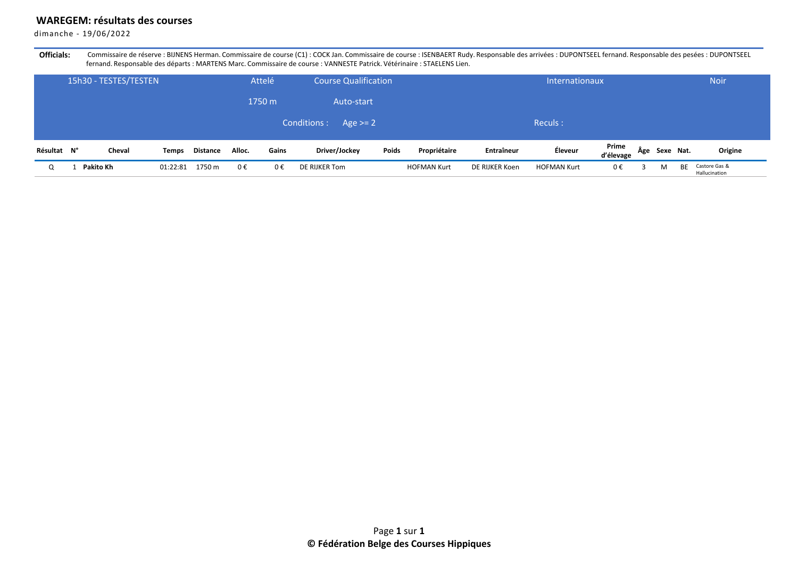## **WAREGEM: résultats des courses**

dimanche - 19/06/2022

Officials: Commissaire de réserve : BIJNENS Herman. Commissaire de course (C1) : COCK Jan. Commissaire de course : ISENBAERT Rudy. Responsable des arrivées : DUPONTSEEL fernand. Responsable des pesées : DUPONTSEEL fernand. Responsable des départs : MARTENS Marc. Commissaire de course : VANNESTE Patrick. Vétérinaire : STAELENS Lien.

|             | 15h30 - TESTES/TESTEN<br>Attelé |           |              |                 |        |            | <b>Course Qualification</b> |       |                    |                | Internationaux     |                    |               | <b>Noir</b> |                                |
|-------------|---------------------------------|-----------|--------------|-----------------|--------|------------|-----------------------------|-------|--------------------|----------------|--------------------|--------------------|---------------|-------------|--------------------------------|
|             | 1750 m                          |           |              |                 |        | Auto-start |                             |       |                    |                |                    |                    |               |             |                                |
|             |                                 |           |              |                 |        |            | Conditions :<br>Age $> = 2$ |       |                    |                | Reculs:            |                    |               |             |                                |
| Résultat N° |                                 | Cheval    | <b>Temps</b> | <b>Distance</b> | Alloc. | Gains      | Driver/Jockey               | Poids | Propriétaire       | Entraîneur     | Éleveur            | Prime<br>d'élevage | Âge Sexe Nat. |             | Origine                        |
| Q           |                                 | Pakito Kh | 01:22:81     | 1750 m          | 0€     | 0€         | DE RIJKER Tom               |       | <b>HOFMAN Kurt</b> | DE RIJKER Koen | <b>HOFMAN Kurt</b> | 0€                 | M             | <b>BE</b>   | Castore Gas &<br>Hallucination |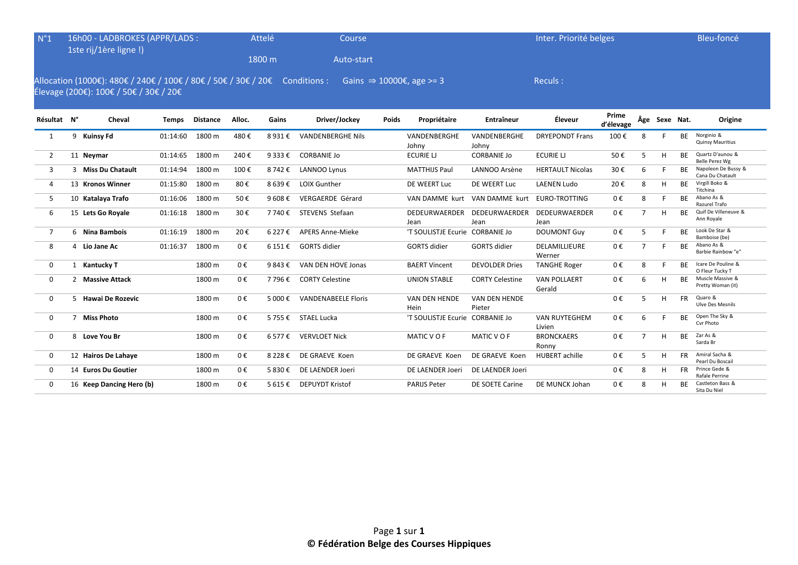| $N^{\circ}1$                                                                                                                                                             | 16h00 - LADBROKES (APPR/LADS :<br>1ste rij/1ère ligne !) |                          |              |                 |        | Attelé                   | Course                     |       |                                 |                                | Inter. Priorité belges         |                    |                |               |           | Bleu-foncé                              |
|--------------------------------------------------------------------------------------------------------------------------------------------------------------------------|----------------------------------------------------------|--------------------------|--------------|-----------------|--------|--------------------------|----------------------------|-------|---------------------------------|--------------------------------|--------------------------------|--------------------|----------------|---------------|-----------|-----------------------------------------|
|                                                                                                                                                                          |                                                          |                          |              |                 |        | 1800 m                   | Auto-start                 |       |                                 |                                |                                |                    |                |               |           |                                         |
| Allocation (1000€): 480€ / 240€ / 100€ / 80€ / 50€ / 30€ / 20€ Conditions :<br>Gains $\Rightarrow$ 10000€, age >= 3<br>Reculs:<br>Élevage (200€): 100€ / 50€ / 30€ / 20€ |                                                          |                          |              |                 |        |                          |                            |       |                                 |                                |                                |                    |                |               |           |                                         |
| Résultat N°                                                                                                                                                              |                                                          | Cheval                   | <b>Temps</b> | <b>Distance</b> | Alloc. | Gains                    | Driver/Jockey              | Poids | Propriétaire                    | Entraîneur                     | Éleveur                        | Prime<br>d'élevage |                | Âge Sexe Nat. |           | Origine                                 |
| 1                                                                                                                                                                        | 9                                                        | <b>Kuinsy Fd</b>         | 01:14:60     | 1800 m          | 480€   | 8931€                    | <b>VANDENBERGHE Nils</b>   |       | VANDENBERGHE<br>Johny           | VANDENBERGHE<br>Johny          | <b>DRYEPONDT Frans</b>         | 100€               | 8              |               | BE        | Norginio &<br><b>Quinsy Mauritius</b>   |
| $\overline{2}$                                                                                                                                                           |                                                          | 11 Neymar                | 01:14:65     | 1800 m          | 240€   | 9 333 €                  | <b>CORBANIE Jo</b>         |       | <b>ECURIE LI</b>                | <b>CORBANIE Jo</b>             | <b>ECURIE LJ</b>               | 50€                | 5              | H             | <b>BE</b> | Quartz D'aunou &<br>Belle Perez Wg      |
| 3                                                                                                                                                                        |                                                          | 3 Miss Du Chatault       | 01:14:94     | 1800 m          | 100€   | 8 742 €                  | LANNOO Lynus               |       | <b>MATTHIJS Paul</b>            | LANNOO Arsène                  | <b>HERTAULT Nicolas</b>        | 30€                | 6              |               | <b>BE</b> | Napoleon De Bussy &<br>Cana Du Chatault |
| 4                                                                                                                                                                        |                                                          | 13 Kronos Winner         | 01:15:80     | 1800 m          | 80€    | 8 639€                   | LOIX Gunther               |       | DE WEERT Luc                    | DE WEERT Luc                   | <b>LAENEN Ludo</b>             | 20€                | 8              | H             | <b>BE</b> | Virgill Boko &<br>Titchina              |
| 5                                                                                                                                                                        |                                                          | 10 Katalaya Trafo        | 01:16:06     | 1800 m          | 50€    | 9608 $\epsilon$          | VERGAERDE Gérard           |       | VAN DAMME kurt                  | VAN DAMME kurt                 | EURO-TROTTING                  | 0€                 | 8              |               | <b>BE</b> | Abano As &<br>Razurel Trafo             |
| 6                                                                                                                                                                        |                                                          | 15 Lets Go Royale        | 01:16:18     | 1800 m          | 30€    | 7 740 €                  | STEVENS Stefaan            |       | DEDEURWAERDER<br>Jean           | DEDEURWAERDER<br>Jean          | <b>DEDEURWAERDER</b><br>Jean   | 0€                 | $\overline{7}$ | H             | <b>BE</b> | Quif De Villeneuve &<br>Ann Royale      |
| $\overline{7}$                                                                                                                                                           |                                                          | 6 Nina Bambois           | 01:16:19     | 1800 m          | 20€    | 6 227 €                  | <b>APERS Anne-Mieke</b>    |       | 'T SOULISTJE Ecurie CORBANIE Jo |                                | <b>DOUMONT Guy</b>             | 0€                 | 5              | F             | <b>BF</b> | Look De Star &<br>Bamboise (be)         |
| 8                                                                                                                                                                        |                                                          | 4 Lio Jane Ac            | 01:16:37     | 1800 m          | 0€     | $6151 \text{ } \epsilon$ | <b>GORTS</b> didier        |       | <b>GORTS</b> didier             | <b>GORTS</b> didier            | DELAMILLIEURE<br>Werner        | 0€                 | $\overline{7}$ | F             | BE        | Abano As &<br>Barbie Rainbow "e"        |
| 0                                                                                                                                                                        |                                                          | 1 Kantucky T             |              | 1800 m          | 0€     | 9843€                    | VAN DEN HOVE Jonas         |       | <b>BAERT Vincent</b>            | <b>DEVOLDER Dries</b>          | <b>TANGHE Roger</b>            | 0€                 | 8              |               | <b>BE</b> | Icare De Pouline &<br>O Fleur Tucky T   |
| 0                                                                                                                                                                        |                                                          | 2 Massive Attack         |              | 1800 m          | 0€     | 7 796 €                  | <b>CORTY Celestine</b>     |       | <b>UNION STABLE</b>             | <b>CORTY Celestine</b>         | <b>VAN POLLAERT</b><br>Gerald  | 0€                 | 6              | H             | BE        | Muscle Massive &<br>Pretty Woman (it)   |
| $\mathbf{0}$                                                                                                                                                             |                                                          | 5 Hawai De Rozevic       |              | 1800 m          | 0€     | 5 000 €                  | <b>VANDENABEELE Floris</b> |       | VAN DEN HENDE<br>Hein           | <b>VAN DEN HENDE</b><br>Pieter |                                | 0€                 | 5              | H             | <b>FR</b> | Quaro &<br><b>Ulve Des Mesnils</b>      |
| $\mathbf{0}$                                                                                                                                                             | $\overline{7}$                                           | <b>Miss Photo</b>        |              | 1800 m          | 0€     | 5755€                    | STAEL Lucka                |       | 'T SOULISTJE Ecurie CORBANIE Jo |                                | <b>VAN RUYTEGHEM</b><br>Livien | 0€                 | 6              | F             | BE        | Open The Sky &<br>Cvr Photo             |
| 0                                                                                                                                                                        |                                                          | 8 Love You Br            |              | 1800 m          | 0€     | 6 577 €                  | <b>VERVLOET Nick</b>       |       | MATIC V O F                     | MATIC V O F                    | <b>BRONCKAERS</b><br>Ronny     | 0€                 | $\overline{7}$ | н             | <b>BE</b> | Zar As &<br>Sarda Br                    |
| $\mathbf{0}$                                                                                                                                                             |                                                          | 12 Hairos De Lahaye      |              | 1800 m          | 0€     | 8 2 2 8 €                | DE GRAEVE Koen             |       | DE GRAEVE Koen                  | DE GRAEVE Koen                 | <b>HUBERT</b> achille          | 0€                 | 5              | H             | FR.       | Amiral Sacha &<br>Pearl Du Boscail      |
| $\mathbf{0}$                                                                                                                                                             |                                                          | 14 Euros Du Goutier      |              | 1800 m          | 0€     | 5830€                    | DE LAENDER Joeri           |       | DE LAENDER Joeri                | DE LAENDER Joeri               |                                | 0€                 | 8              | н             | <b>FR</b> | Prince Gede &<br>Rafale Perrine         |
| 0                                                                                                                                                                        |                                                          | 16 Keep Dancing Hero (b) |              | 1800 m          | 0€     | 5 615 €                  | <b>DEPUYDT Kristof</b>     |       | <b>PARIJS Peter</b>             | DE SOETE Carine                | DE MUNCK Johan                 | 0€                 | 8              | н             | BF.       | Castleton Bass &<br>Sita Du Niel        |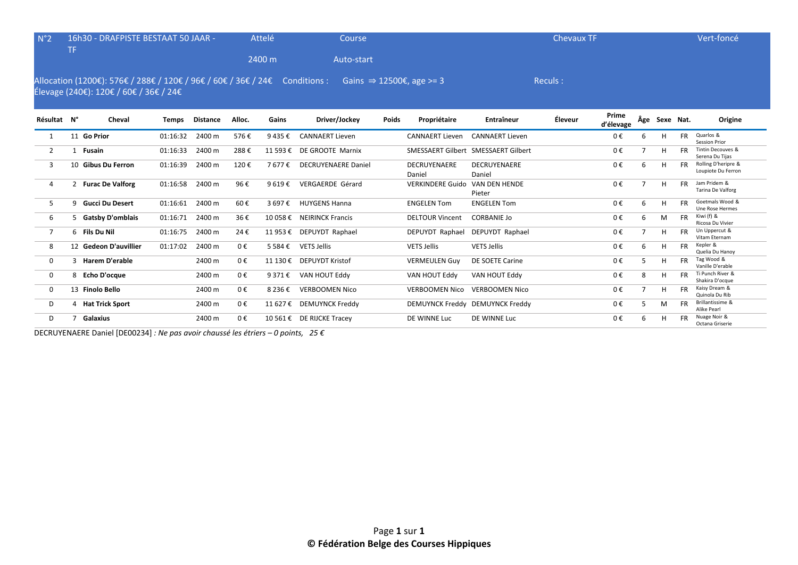| N°2            | TF. | 16h30 - DRAFPISTE BESTAAT 50 JAAR -                                                                                   |          |                 |         | Attelé    | Course                     |              |                                      |                                     | <b>Chevaux TF</b> |                    |    |               |           | Vert-foncé                                |
|----------------|-----|-----------------------------------------------------------------------------------------------------------------------|----------|-----------------|---------|-----------|----------------------------|--------------|--------------------------------------|-------------------------------------|-------------------|--------------------|----|---------------|-----------|-------------------------------------------|
|                |     |                                                                                                                       |          |                 |         | 2400 m    | Auto-start                 |              |                                      |                                     |                   |                    |    |               |           |                                           |
|                |     | Allocation (1200€): 576€ / 288€ / 120€ / 96€ / 60€ / 36€ / 24€ Conditions :<br>Élevage (240€): 120€ / 60€ / 36€ / 24€ |          |                 |         |           |                            |              | Gains $\Rightarrow$ 12500€, age >= 3 |                                     | Reculs:           |                    |    |               |           |                                           |
| Résultat N°    |     | Cheval                                                                                                                | Temps    | <b>Distance</b> | Alloc.  | Gains     | Driver/Jockey              | <b>Poids</b> | Propriétaire                         | Entraîneur                          | Éleveur           | Prime<br>d'élevage |    | Âge Sexe Nat. |           | Origine                                   |
|                |     | 11 Go Prior                                                                                                           | 01:16:32 | 2400 m          | 576€    | 9435€     | <b>CANNAERT Lieven</b>     |              | <b>CANNAERT Lieven</b>               | <b>CANNAERT Lieven</b>              |                   | $0 \in$            |    | H             | <b>FR</b> | Quarlos &<br>Session Prior                |
| 2              |     | 1 Fusain                                                                                                              | 01:16:33 | 2400 m          | 288€    | 11 593 €  | DE GROOTE Marnix           |              |                                      | SMESSAERT Gilbert SMESSAERT Gilbert |                   | 0€                 |    | H             | <b>FR</b> | Tintin Decouves &<br>Serena Du Tijas      |
| 3              |     | 10 Gibus Du Ferron                                                                                                    | 01:16:39 | 2400 m          | 120€    | 7 677 €   | <b>DECRUYENAERE Daniel</b> |              | <b>DECRUYENAERE</b><br>Daniel        | <b>DECRUYENAERE</b><br>Daniel       |                   | 0€                 | 6  | H             | <b>FR</b> | Rolling D'heripre &<br>Loupiote Du Ferron |
| 4              |     | 2 Furac De Valforg                                                                                                    | 01:16:58 | 2400 m          | 96€     | 9619€     | VERGAERDE Gérard           |              | <b>VERKINDERE Guido</b>              | VAN DEN HENDE<br>Pieter             |                   | 0€                 |    | H             | <b>FR</b> | Jam Pridem &<br>Tarina De Valforg         |
| 5              |     | 9 Gucci Du Desert                                                                                                     | 01:16:61 | 2400 m          | 60€     | 3 697 €   | <b>HUYGENS Hanna</b>       |              | <b>ENGELEN Tom</b>                   | <b>ENGELEN Tom</b>                  |                   | $0 \in$            | 6  | H             | <b>FR</b> | Goetmals Wood &<br><b>Une Rose Hermes</b> |
| 6              |     | 5 Gatsby D'omblais                                                                                                    | 01:16:71 | 2400 m          | 36€     |           | 10 058 € NEIRINCK Francis  |              | <b>DELTOUR Vincent</b>               | <b>CORBANIE Jo</b>                  |                   | 0€                 | 6  | M             | <b>FR</b> | Kiwi (f) &<br>Ricosa Du Vivier            |
| $\overline{7}$ |     | 6 Fils Du Nil                                                                                                         | 01:16:75 | 2400 m          | 24€     |           | 11 953 € DEPUYDT Raphael   |              | DEPUYDT Raphael                      | DEPUYDT Raphael                     |                   | 0€                 |    | H             | <b>FR</b> | Un Uppercut &<br>Vitam Eternam            |
| 8              |     | 12 Gedeon D'auvillier                                                                                                 | 01:17:02 | 2400 m          | 0€      | 5 5 8 4 € | <b>VETS Jellis</b>         |              | <b>VETS Jellis</b>                   | <b>VETS Jellis</b>                  |                   | $0 \in$            | 6  | H             | <b>FR</b> | Kepler &<br>Quelia Du Hanoy               |
| $\Omega$       |     | 3 Harem D'erable                                                                                                      |          | 2400 m          | $0 \in$ |           | 11 130 € DEPUYDT Kristof   |              | <b>VERMEULEN Guy</b>                 | <b>DE SOETE Carine</b>              |                   | $0 \in$            | .5 | H             | <b>FR</b> | Tag Wood &<br>Vanille D'erable            |
| $\mathbf{0}$   |     | 8 Echo D'ocque                                                                                                        |          | 2400 m          | $0 \in$ | 9 371 €   | VAN HOUT Eddy              |              | VAN HOUT Eddy                        | VAN HOUT Eddy                       |                   | 0€                 | 8  | H             | <b>FR</b> | Ti Punch River &<br>Shakira D'ocque       |
| $\mathbf 0$    |     | 13 Finolo Bello                                                                                                       |          | 2400 m          | 0€      | 8 236 €   | <b>VERBOOMEN Nico</b>      |              | <b>VERBOOMEN Nico</b>                | <b>VERBOOMEN Nico</b>               |                   | $0 \in$            |    | H             | <b>FR</b> | Kaisy Dream &<br>Quinola Du Rib           |
| D              |     | 4 Hat Trick Sport                                                                                                     |          | 2400 m          | $0 \in$ |           | 11 627 € DEMUYNCK Freddy   |              |                                      | DEMUYNCK Freddy DEMUYNCK Freddy     |                   | 0€                 | 5  | M             | <b>FR</b> | Brillantissime &<br>Alike Pearl           |
| D              |     | Galaxius                                                                                                              |          | 2400 m          | 0€      |           | 10 561 € DE RIJCKE Tracey  |              | DE WINNE Luc                         | DE WINNE Luc                        |                   | 0€                 | 6  | H             |           | Nuage Noir &<br>Octana Griserie           |

DECRUYENAERE Daniel [DE00234] *: Ne pas avoir chaussé les étriers – 0 points, 25 €*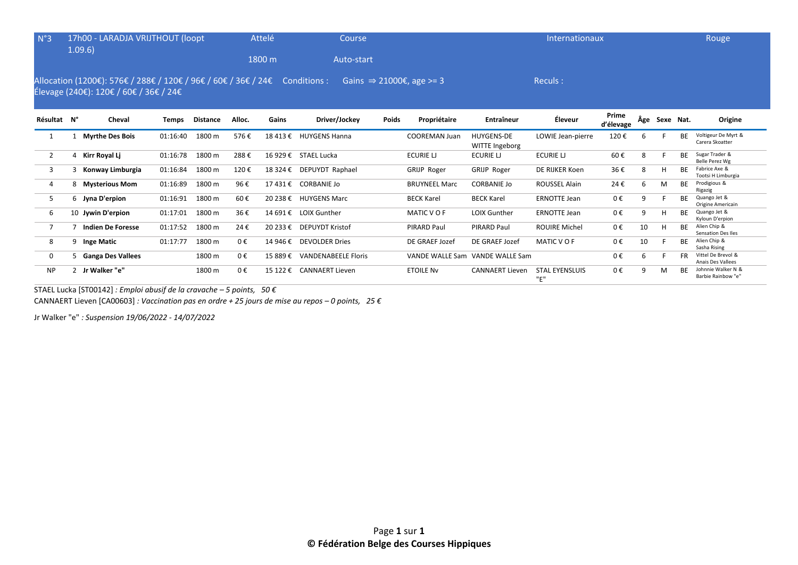| $N^{\circ}3$ |                | 17h00 - LARADJA VRIJTHOUT (loopt                                                                                      |              |                 |         | Attelé   | Course                     |              |                                      |                                     | Internationaux                  |                    |     |           |           | Rouge                                     |
|--------------|----------------|-----------------------------------------------------------------------------------------------------------------------|--------------|-----------------|---------|----------|----------------------------|--------------|--------------------------------------|-------------------------------------|---------------------------------|--------------------|-----|-----------|-----------|-------------------------------------------|
|              |                | 1.09.6                                                                                                                |              |                 |         | 1800 m   | Auto-start                 |              |                                      |                                     |                                 |                    |     |           |           |                                           |
|              |                | Allocation (1200€): 576€ / 288€ / 120€ / 96€ / 60€ / 36€ / 24€ Conditions :<br>Élevage (240€): 120€ / 60€ / 36€ / 24€ |              |                 |         |          |                            |              | Gains $\Rightarrow$ 21000€, age >= 3 |                                     | Reculs:                         |                    |     |           |           |                                           |
| Résultat N°  |                | Cheval                                                                                                                | <b>Temps</b> | <b>Distance</b> | Alloc.  | Gains    | Driver/Jockey              | <b>Poids</b> | Propriétaire                         | Entraîneur                          | Éleveur                         | Prime<br>d'élevage | Âge | Sexe Nat. |           | Origine                                   |
| 1            |                | <b>Myrthe Des Bois</b>                                                                                                | 01:16:40     | 1800 m          | 576€    |          | 18 413 € HUYGENS Hanna     |              | <b>COOREMAN Juan</b>                 | <b>HUYGENS-DE</b><br>WITTE Ingeborg | LOWIE Jean-pierre               | 120€               | 6   |           | <b>BE</b> | Voltigeur De Myrt &<br>Carera Skoatter    |
| 2            | 4              | Kirr Royal Li                                                                                                         | 01:16:78     | 1800 m          | 288€    |          | 16 929 € STAEL Lucka       |              | ECURIE LJ                            | ECURIE LI                           | <b>ECURIE LI</b>                | 60€                | 8   |           | <b>BE</b> | Sugar Trader &<br>Belle Perez Wg          |
| 3            |                | Konway Limburgia                                                                                                      | 01:16:84     | 1800 m          | 120€    |          | 18 324 € DEPUYDT Raphael   |              | GRIJP Roger                          | GRIJP Roger                         | DE RIJKER Koen                  | 36€                | 8   | H         | <b>BE</b> | Fabrice Axe &<br>Tootsi H Limburgia       |
| 4            | 8              | <b>Mysterious Mom</b>                                                                                                 | 01:16:89     | 1800 m          | 96€     |          | 17 431 € CORBANIE Jo       |              | <b>BRUYNEEL Marc</b>                 | <b>CORBANIE Jo</b>                  | ROUSSEL Alain                   | 24€                | 6   | M         | <b>BE</b> | Prodigious &<br>Rigazig                   |
| 5            |                | 6 Jyna D'erpion                                                                                                       | 01:16:91     | 1800 m          | 60€     |          | 20 238 € HUYGENS Marc      |              | <b>BECK Karel</b>                    | <b>BECK Karel</b>                   | <b>ERNOTTE Jean</b>             | 0€                 | 9   |           | ВE        | Quango Jet &<br>Origine Americain         |
| 6            |                | 10 Jywin D'erpion                                                                                                     | 01:17:01     | 1800 m          | 36€     |          | 14 691 € LOIX Gunther      |              | MATIC V O F                          | <b>LOIX Gunther</b>                 | <b>ERNOTTE Jean</b>             | 0€                 | 9   | H         | <b>BF</b> | Quango Jet &<br>Kyloun D'erpion           |
| 7            |                | <b>Indien De Foresse</b>                                                                                              | 01:17:52     | 1800 m          | 24€     |          | 20 233 € DEPUYDT Kristof   |              | PIRARD Paul                          | PIRARD Paul                         | <b>ROUIRE Michel</b>            | 0€                 | 10  | H         | <b>BE</b> | Alien Chip &<br><b>Sensation Des Iles</b> |
| 8            | 9              | <b>Inge Matic</b>                                                                                                     | 01:17:77     | 1800 m          | $0 \in$ |          | 14 946 € DEVOLDER Dries    |              | DE GRAEF Jozef                       | DE GRAEF Jozef                      | MATIC V O F                     | 0€                 | 10  |           | <b>BE</b> | Alien Chip &<br>Sasha Rising              |
| 0            |                | 5 Ganga Des Vallees                                                                                                   |              | 1800 m          | $0 \in$ | 15 889 € | <b>VANDENABEELE Floris</b> |              | VANDE WALLE Sam                      | VANDE WALLE Sam                     |                                 | 0€                 | 6   |           | <b>FR</b> | Vittel De Brevol &<br>Anais Des Vallees   |
| <b>NP</b>    | $\overline{2}$ | Jr Walker "e"                                                                                                         |              | 1800 m          | $0 \in$ | 15 122 € | <b>CANNAERT Lieven</b>     |              | <b>ETOILE NV</b>                     | <b>CANNAERT Lieven</b>              | <b>STAL EYENSLUIS</b><br>11 p.H | 0€                 | 9   | M         | <b>BF</b> | Johnnie Walker N &<br>Barbie Rainbow "e"  |

"E"

STAEL Lucka [ST00142] *: Emploi abusif de la cravache – 5 points, 50 €* CANNAERT Lieven [CA00603] *: Vaccination pas en ordre + 25 jours de mise au repos – 0 points, 25 €*

Jr Walker "e" *: Suspension 19/06/2022 - 14/07/2022*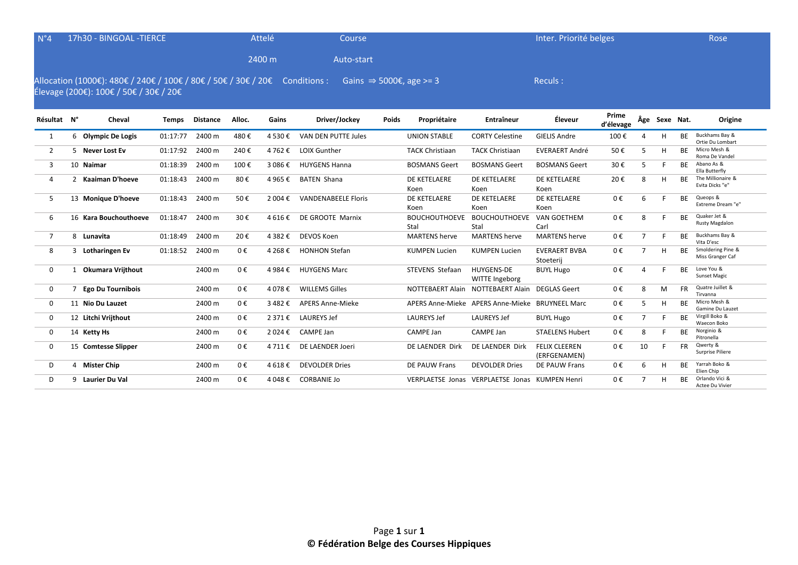| $N^{\circ}4$   | 17h30 - BINGOAL - TIERCE |                                                                                                                       |              |                 | Attelé  | <b>Course</b> |                            |       |                                     | Inter. Priorité belges                          |                                      | Rose               |                |               |           |                                       |
|----------------|--------------------------|-----------------------------------------------------------------------------------------------------------------------|--------------|-----------------|---------|---------------|----------------------------|-------|-------------------------------------|-------------------------------------------------|--------------------------------------|--------------------|----------------|---------------|-----------|---------------------------------------|
|                |                          |                                                                                                                       |              |                 |         | 2400 m        | Auto-start                 |       |                                     |                                                 |                                      |                    |                |               |           |                                       |
|                |                          | Allocation (1000€): 480€ / 240€ / 100€ / 80€ / 50€ / 30€ / 20€ Conditions :<br>Élevage (200€): 100€ / 50€ / 30€ / 20€ |              |                 |         |               |                            |       | Gains $\Rightarrow$ 5000€, age >= 3 |                                                 | Reculs:                              |                    |                |               |           |                                       |
| Résultat N°    |                          | Cheval                                                                                                                | <b>Temps</b> | <b>Distance</b> | Alloc.  | Gains         | Driver/Jockey              | Poids | Propriétaire                        | Entraîneur                                      | Éleveur                              | Prime<br>d'élevage |                | Âge Sexe Nat. |           | Origine                               |
| 1              |                          | 6 Olympic De Logis                                                                                                    | 01:17:77     | 2400 m          | 480€    | 4 530 €       | VAN DEN PUTTE Jules        |       | <b>UNION STABLE</b>                 | <b>CORTY Celestine</b>                          | <b>GIELIS Andre</b>                  | 100€               |                | н             | <b>BF</b> | Buckhams Bay &<br>Ortie Du Lombart    |
| $\overline{2}$ |                          | 5 Never Lost Ev                                                                                                       | 01:17:92     | 2400 m          | 240€    | 4 762 €       | <b>LOIX Gunther</b>        |       | <b>TACK Christiaan</b>              | <b>TACK Christiaan</b>                          | <b>EVERAERT André</b>                | 50€                | 5              | H             | <b>BF</b> | Micro Mesh &<br>Roma De Vandel        |
| 3              |                          | 10 Naimar                                                                                                             | 01:18:39     | 2400 m          | 100€    | 3 086€        | <b>HUYGENS Hanna</b>       |       | <b>BOSMANS Geert</b>                | <b>BOSMANS Geert</b>                            | <b>BOSMANS Geert</b>                 | 30€                | 5              | F             | <b>BF</b> | Abano As &<br>Ella Butterfly          |
| 4              |                          | 2 Kaaiman D'hoeve                                                                                                     | 01:18:43     | 2400 m          | 80€     | 4 965 €       | <b>BATEN Shana</b>         |       | DE KETELAERE<br>Koen                | DE KETELAERE<br>Koen                            | DE KETELAERE<br>Koen                 | 20€                | 8              | н             | ВE        | The Millionaire &<br>Evita Dicks "e"  |
| 5              |                          | 13 Monique D'hoeve                                                                                                    | 01:18:43     | 2400 m          | 50€     | 2 004 €       | <b>VANDENABEELE Floris</b> |       | DE KETELAERE<br>Koen                | DE KETELAERE<br>Koen                            | DE KETELAERE<br>Koen                 | 0€                 | 6              |               | <b>BF</b> | Queops &<br>Extreme Dream "e"         |
| 6              |                          | 16 Kara Bouchouthoeve                                                                                                 | 01:18:47     | 2400 m          | 30€     | 4 616 €       | DE GROOTE Marnix           |       | <b>BOUCHOUTHOEVE</b><br>Stal        | <b>BOUCHOUTHOEVE</b><br>Stal                    | VAN GOETHEM<br>Carl                  | 0€                 | 8              |               | <b>BE</b> | Quaker Jet &<br>Rusty Magdalon        |
| $\overline{7}$ |                          | 8 Lunavita                                                                                                            | 01:18:49     | 2400 m          | 20€     | 4 382 €       | <b>DEVOS Koen</b>          |       | <b>MARTENS herve</b>                | <b>MARTENS</b> herve                            | <b>MARTENS herve</b>                 | 0€                 | $\overline{7}$ |               | <b>BF</b> | Buckhams Bay &<br>Vita D'esc          |
| 8              |                          | 3 Lotharingen Ev                                                                                                      | 01:18:52     | 2400 m          | 0€      | 4 268 €       | <b>HONHON Stefan</b>       |       | <b>KUMPEN Lucien</b>                | <b>KUMPEN Lucien</b>                            | <b>EVERAERT BVBA</b><br>Stoeterij    | 0€                 | $\overline{7}$ | H             | <b>BF</b> | Smoldering Pine &<br>Miss Granger Caf |
| 0              |                          | Okumara Vrijthout                                                                                                     |              | 2400 m          | 0€      | 4 984 €       | <b>HUYGENS Marc</b>        |       | STEVENS Stefaan                     | <b>HUYGENS-DE</b><br>WITTE Ingeborg             | <b>BUYL Hugo</b>                     | 0€                 | 4              |               | <b>BF</b> | Love You &<br><b>Sunset Magic</b>     |
| 0              | 7                        | <b>Ego Du Tournibois</b>                                                                                              |              | 2400 m          | 0€      | 4 078 €       | <b>WILLEMS Gilles</b>      |       | <b>NOTTEBAERT Alain</b>             | <b>NOTTEBAERT Alain</b>                         | <b>DEGLAS Geert</b>                  | 0€                 | 8              | M             | <b>FR</b> | Quatre Juillet &<br>Tirvanna          |
| 0              |                          | 11 Nio Du Lauzet                                                                                                      |              | 2400 m          | $0 \in$ | 3.482€        | <b>APERS Anne-Mieke</b>    |       |                                     | APERS Anne-Mieke APERS Anne-Mieke BRUYNEEL Marc |                                      | 0€                 | 5              | H             | <b>BF</b> | Micro Mesh &<br>Gamine Du Lauzet      |
| $\mathbf 0$    |                          | 12 Litchi Vrijthout                                                                                                   |              | 2400 m          | $0 \in$ | 2371€         | <b>LAUREYS Jef</b>         |       | <b>LAUREYS Jef</b>                  | <b>LAUREYS Jef</b>                              | <b>BUYL Hugo</b>                     | 0€                 | $\overline{7}$ |               | <b>BE</b> | Virgill Boko &<br>Waecon Boko         |
| 0              |                          | 14 Ketty Hs                                                                                                           |              | 2400 m          | 0€      | 2 024 €       | CAMPE Jan                  |       | CAMPE Jan                           | CAMPE Jan                                       | <b>STAELENS Hubert</b>               | 0€                 | 8              |               | <b>BE</b> | Norginio &<br>Pitronella              |
| 0              |                          | 15 Comtesse Slipper                                                                                                   |              | 2400 m          | 0€      | 4711€         | DE LAENDER Joeri           |       | DE LAENDER Dirk                     | DE LAENDER Dirk                                 | <b>FELIX CLEEREN</b><br>(ERFGENAMEN) | 0€                 | 10             |               | <b>FR</b> | Qwerty &<br>Surprise Piliere          |
| D              | 4                        | <b>Mister Chip</b>                                                                                                    |              | 2400 m          | 0€      | 4 618 €       | <b>DEVOLDER Dries</b>      |       | DE PAUW Frans                       | <b>DEVOLDER Dries</b>                           | DE PAUW Frans                        | 0€                 | 6              | H             | <b>BE</b> | Yarrah Boko &<br>Elien Chip           |

Actee Du Vivier

D 9 Laurier Du Val **2400 m** 0 € 4 048 € CORBANIE Jo VERPLAETSE Jonas VERPLAETSE Jonas KUMPEN Henri 0 €